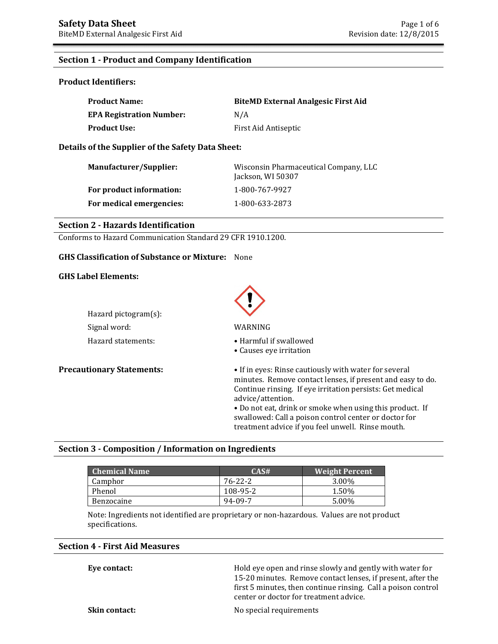#### **Section 1 - Product and Company Identification**

**Product Identifiers:** 

| <b>Product Name:</b>            | <b>BiteMD External Analgesic First Aid</b> |
|---------------------------------|--------------------------------------------|
| <b>EPA Registration Number:</b> | N/A                                        |
| <b>Product Use:</b>             | First Aid Antiseptic                       |

**Details of the Supplier of the Safety Data Sheet:** 

| <b>Manufacturer/Supplier:</b> | Wisconsin Pharmaceutical Company, LLC<br>Jackson, WI 50307 |
|-------------------------------|------------------------------------------------------------|
| For product information:      | 1-800-767-9927                                             |
| For medical emergencies:      | 1-800-633-2873                                             |

#### **Section 2 - Hazards Identification**

Conforms to Hazard Communication Standard 29 CFR 1910.1200.

#### **GHS Classification of Substance or Mixture:** None

#### **GHS Label Elements:**

Hazard pictogram(s): Signal word: WARNING

Hazard statements: • • Harmful if swallowed

• Causes eye irritation

**Precautionary Statements:** • **•** If in eyes: Rinse cautiously with water for several minutes. Remove contact lenses, if present and easy to do. Continue rinsing. If eye irritation persists: Get medical advice/attention.

> • Do not eat, drink or smoke when using this product. If swallowed: Call a poison control center or doctor for treatment advice if you feel unwell. Rinse mouth.

#### **Section 3 - Composition / Information on Ingredients**

| <b>Chemical Name</b> | CAS#     | <b>Weight Percent</b> |
|----------------------|----------|-----------------------|
| Camphor              | 76-22-2  | 3.00%                 |
| Phenol               | 108-95-2 | 1.50%                 |
| Benzocaine           | 94-09-7  | 5.00%                 |

Note: Ingredients not identified are proprietary or non-hazardous. Values are not product specifications.

#### **Section 4 - First Aid Measures**

**Eye contact: Exercise 3** Hold eye open and rinse slowly and gently with water for 15-20 minutes. Remove contact lenses, if present, after the first 5 minutes, then continue rinsing. Call a poison control center or doctor for treatment advice.

**Skin contact:** No special requirements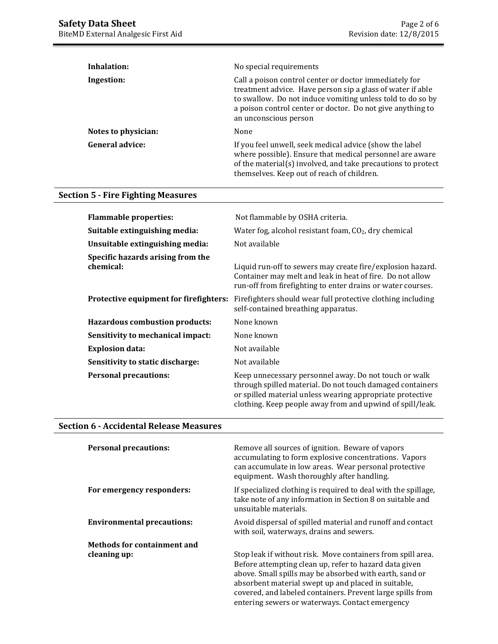| Inhalation:            | No special requirements                                                                                                                                                                                                                                                   |
|------------------------|---------------------------------------------------------------------------------------------------------------------------------------------------------------------------------------------------------------------------------------------------------------------------|
| Ingestion:             | Call a poison control center or doctor immediately for<br>treatment advice. Have person sip a glass of water if able<br>to swallow. Do not induce vomiting unless told to do so by<br>a poison control center or doctor. Do not give anything to<br>an unconscious person |
| Notes to physician:    | None                                                                                                                                                                                                                                                                      |
| <b>General advice:</b> | If you feel unwell, seek medical advice (show the label<br>where possible). Ensure that medical personnel are aware<br>of the material(s) involved, and take precautions to protect<br>themselves. Keep out of reach of children.                                         |

# **Section 5 - Fire Fighting Measures**

| <b>Flammable properties:</b>                   | Not flammable by OSHA criteria.                                                                                                                                                                                                              |
|------------------------------------------------|----------------------------------------------------------------------------------------------------------------------------------------------------------------------------------------------------------------------------------------------|
| Suitable extinguishing media:                  | Water fog, alcohol resistant foam, CO <sub>2</sub> , dry chemical                                                                                                                                                                            |
| Unsuitable extinguishing media:                | Not available                                                                                                                                                                                                                                |
| Specific hazards arising from the<br>chemical: | Liquid run-off to sewers may create fire/explosion hazard.<br>Container may melt and leak in heat of fire. Do not allow<br>run-off from firefighting to enter drains or water courses.                                                       |
| Protective equipment for firefighters:         | Firefighters should wear full protective clothing including<br>self-contained breathing apparatus.                                                                                                                                           |
| <b>Hazardous combustion products:</b>          | None known                                                                                                                                                                                                                                   |
| Sensitivity to mechanical impact:              | None known                                                                                                                                                                                                                                   |
| <b>Explosion data:</b>                         | Not available                                                                                                                                                                                                                                |
| Sensitivity to static discharge:               | Not available                                                                                                                                                                                                                                |
| <b>Personal precautions:</b>                   | Keep unnecessary personnel away. Do not touch or walk<br>through spilled material. Do not touch damaged containers<br>or spilled material unless wearing appropriate protective<br>clothing. Keep people away from and upwind of spill/leak. |

# **Section 6 - Accidental Release Measures**

| <b>Personal precautions:</b>       | Remove all sources of ignition. Beware of vapors<br>accumulating to form explosive concentrations. Vapors<br>can accumulate in low areas. Wear personal protective<br>equipment. Wash thoroughly after handling.                                                                                                                                         |
|------------------------------------|----------------------------------------------------------------------------------------------------------------------------------------------------------------------------------------------------------------------------------------------------------------------------------------------------------------------------------------------------------|
| For emergency responders:          | If specialized clothing is required to deal with the spillage,<br>take note of any information in Section 8 on suitable and<br>unsuitable materials.                                                                                                                                                                                                     |
| <b>Environmental precautions:</b>  | Avoid dispersal of spilled material and runoff and contact<br>with soil, waterways, drains and sewers.                                                                                                                                                                                                                                                   |
| <b>Methods for containment and</b> |                                                                                                                                                                                                                                                                                                                                                          |
| cleaning up:                       | Stop leak if without risk. Move containers from spill area.<br>Before attempting clean up, refer to hazard data given<br>above. Small spills may be absorbed with earth, sand or<br>absorbent material swept up and placed in suitable,<br>covered, and labeled containers. Prevent large spills from<br>entering sewers or waterways. Contact emergency |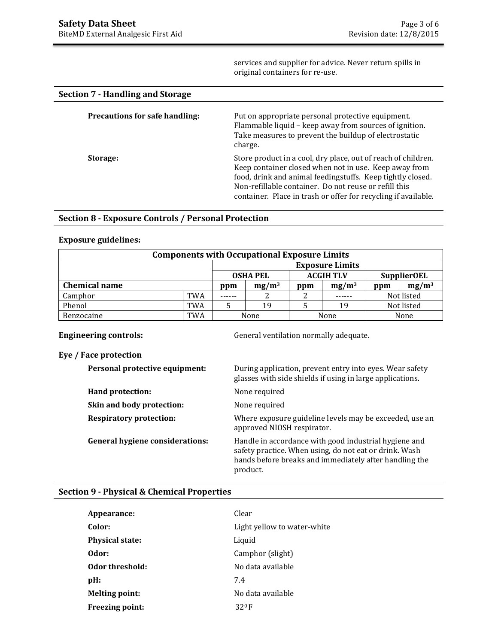services and supplier for advice. Never return spills in original containers for re-use.

| Section 7 - Handling and Storage      |                                                                                                                                                                                                                                                                                                                 |
|---------------------------------------|-----------------------------------------------------------------------------------------------------------------------------------------------------------------------------------------------------------------------------------------------------------------------------------------------------------------|
| <b>Precautions for safe handling:</b> | Put on appropriate personal protective equipment.<br>Flammable liquid - keep away from sources of ignition.<br>Take measures to prevent the buildup of electrostatic<br>charge.                                                                                                                                 |
| Storage:                              | Store product in a cool, dry place, out of reach of children.<br>Keep container closed when not in use. Keep away from<br>food, drink and animal feedingstuffs. Keep tightly closed.<br>Non-refillable container. Do not reuse or refill this<br>container. Place in trash or offer for recycling if available. |

### **Section 8 - Exposure Controls / Personal Protection**

# **Exposure guidelines:**

| <b>Components with Occupational Exposure Limits</b>       |            |     |          |                        |                   |     |            |
|-----------------------------------------------------------|------------|-----|----------|------------------------|-------------------|-----|------------|
|                                                           |            |     |          | <b>Exposure Limits</b> |                   |     |            |
| <b>ACGIH TLV</b><br><b>OSHA PEL</b><br><b>SupplierOEL</b> |            |     |          |                        |                   |     |            |
| <b>Chemical name</b>                                      |            | ppm | $mg/m^3$ | ppm                    | mg/m <sup>3</sup> | ppm | $mg/m^3$   |
| Camphor                                                   | <b>TWA</b> |     |          |                        |                   |     | Not listed |
| Phenol                                                    | <b>TWA</b> |     | 19       |                        | 19                |     | Not listed |
| Benzocaine                                                | <b>TWA</b> |     | None     |                        | None              |     | None       |

**Engineering controls: Controls: General ventilation normally adequate.** 

#### **Eye / Face protection**

| Personal protective equipment:         | During application, prevent entry into eyes. Wear safety<br>glasses with side shields if using in large applications.                                                                 |
|----------------------------------------|---------------------------------------------------------------------------------------------------------------------------------------------------------------------------------------|
| Hand protection:                       | None required                                                                                                                                                                         |
| Skin and body protection:              | None required                                                                                                                                                                         |
| <b>Respiratory protection:</b>         | Where exposure guideline levels may be exceeded, use an<br>approved NIOSH respirator.                                                                                                 |
| <b>General hygiene considerations:</b> | Handle in accordance with good industrial hygiene and<br>safety practice. When using, do not eat or drink. Wash<br>hands before breaks and immediately after handling the<br>product. |

### **Section 9 - Physical & Chemical Properties**

| Appearance:            | Clear                       |
|------------------------|-----------------------------|
| Color:                 | Light yellow to water-white |
| <b>Physical state:</b> | Liquid                      |
| Odor:                  | Camphor (slight)            |
| Odor threshold:        | No data available           |
| $pH$ :                 | 7.4                         |
| <b>Melting point:</b>  | No data available           |
| <b>Freezing point:</b> | 320F                        |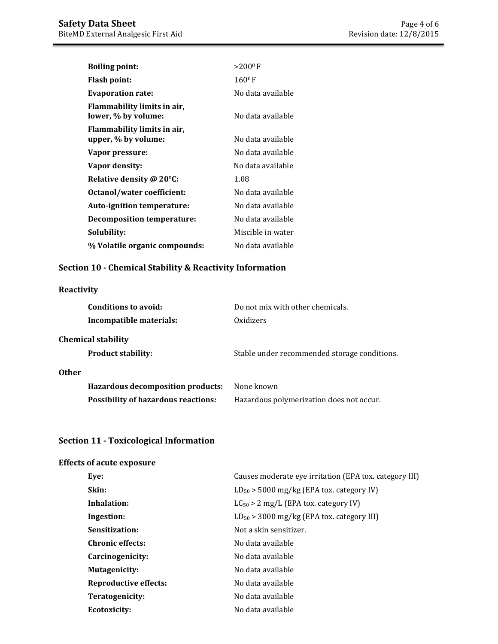| <b>Boiling point:</b>                              | $>200^{\circ}$ F  |
|----------------------------------------------------|-------------------|
| Flash point:                                       | $160^{\circ}$ F   |
| <b>Evaporation rate:</b>                           | No data available |
| Flammability limits in air,<br>lower, % by volume: | No data available |
| Flammability limits in air,<br>upper, % by volume: | No data available |
| Vapor pressure:                                    | No data available |
| Vapor density:                                     | No data available |
| Relative density @ 20°C:                           | 1.08              |
| Octanol/water coefficient:                         | No data available |
| Auto-ignition temperature:                         | No data available |
| <b>Decomposition temperature:</b>                  | No data available |
| Solubility:                                        | Miscible in water |
| % Volatile organic compounds:                      | No data available |

# **Section 10 - Chemical Stability & Reactivity Information**

# **Reactivity**

| Conditions to avoid:<br>Incompatible materials:        | Do not mix with other chemicals.<br>Oxidizers |
|--------------------------------------------------------|-----------------------------------------------|
| <b>Chemical stability</b><br><b>Product stability:</b> | Stable under recommended storage conditions.  |
| <b>Other</b>                                           |                                               |
| Hazardous decomposition products:                      | None known                                    |
| <b>Possibility of hazardous reactions:</b>             | Hazardous polymerization does not occur.      |

# **Section 11 - Toxicological Information**

| <b>Effects of acute exposure</b> |                                                        |
|----------------------------------|--------------------------------------------------------|
| Eve:                             | Causes moderate eye irritation (EPA tox. category III) |
| Skin:                            | $LD_{50}$ > 5000 mg/kg (EPA tox. category IV)          |
| Inhalation:                      | $LC_{50} > 2$ mg/L (EPA tox. category IV)              |
| Ingestion:                       | $LD_{50}$ > 3000 mg/kg (EPA tox. category III)         |
| Sensitization:                   | Not a skin sensitizer.                                 |
| <b>Chronic effects:</b>          | No data available                                      |
| Carcinogenicity:                 | No data available                                      |
| <b>Mutagenicity:</b>             | No data available                                      |
| <b>Reproductive effects:</b>     | No data available                                      |
| Teratogenicity:                  | No data available                                      |
| <b>Ecotoxicity:</b>              | No data available                                      |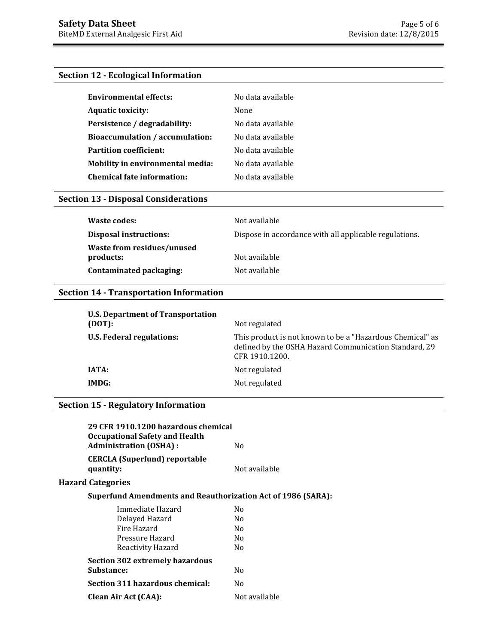## **Section 12 - Ecological Information**

| <b>Environmental effects:</b>          | No data available |
|----------------------------------------|-------------------|
| <b>Aquatic toxicity:</b>               | None              |
| Persistence / degradability:           | No data available |
| <b>Bioaccumulation / accumulation:</b> | No data available |
| <b>Partition coefficient:</b>          | No data available |
| Mobility in environmental media:       | No data available |
| <b>Chemical fate information:</b>      | No data available |

# **Section 13 - Disposal Considerations**

| Waste codes:                            | Not available                                          |
|-----------------------------------------|--------------------------------------------------------|
| Disposal instructions:                  | Dispose in accordance with all applicable regulations. |
| Waste from residues/unused<br>products: | Not available                                          |
| Contaminated packaging:                 | Not available                                          |

# **Section 14 - Transportation Information**

| <b>U.S. Department of Transportation</b><br>(DOT): | Not regulated                                                                                                                        |
|----------------------------------------------------|--------------------------------------------------------------------------------------------------------------------------------------|
| <b>U.S. Federal regulations:</b>                   | This product is not known to be a "Hazardous Chemical" as<br>defined by the OSHA Hazard Communication Standard, 29<br>CFR 1910.1200. |
| IATA:                                              | Not regulated                                                                                                                        |
| IMDG:                                              | Not regulated                                                                                                                        |
|                                                    |                                                                                                                                      |

# **Section 15 - Regulatory Information**

| 29 CFR 1910.1200 hazardous chemical<br><b>Occupational Safety and Health</b><br><b>Administration (OSHA):</b> | No.           |
|---------------------------------------------------------------------------------------------------------------|---------------|
| <b>CERCLA (Superfund) reportable</b><br>quantity:                                                             | Not available |
| <b>Hazard Categories</b>                                                                                      |               |
| <b>Superfund Amendments and Reauthorization Act of 1986 (SARA):</b>                                           |               |
| Immediate Hazard                                                                                              | No.           |
| Delayed Hazard                                                                                                | No.           |
| Fire Hazard                                                                                                   | No.           |
| Pressure Hazard                                                                                               | No.           |
| Reactivity Hazard                                                                                             | No.           |
| <b>Section 302 extremely hazardous</b>                                                                        |               |
| Substance:                                                                                                    | No.           |
| Section 311 hazardous chemical:                                                                               | No.           |
| Clean Air Act (CAA):                                                                                          | Not available |